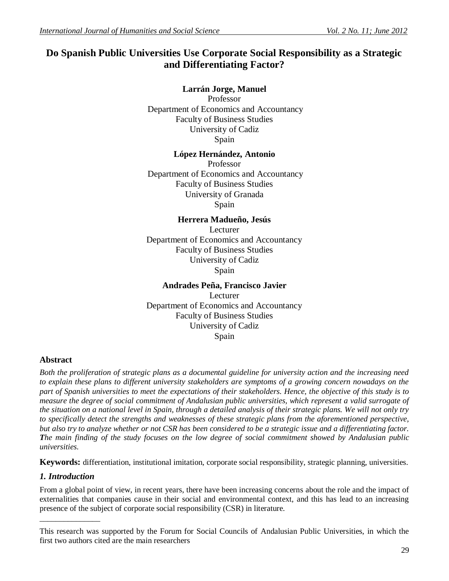# **Do Spanish Public Universities Use Corporate Social Responsibility as a Strategic and Differentiating Factor?**

# **Larrán Jorge, Manuel**

Professor Department of Economics and Accountancy Faculty of Business Studies University of Cadiz Spain

# **López Hernández, Antonio**

Professor Department of Economics and Accountancy Faculty of Business Studies University of Granada Spain

# **Herrera Madueño, Jesús**

Lecturer Department of Economics and Accountancy Faculty of Business Studies University of Cadiz Spain

# **Andrades Peña, Francisco Javier**

Lecturer Department of Economics and Accountancy Faculty of Business Studies University of Cadiz Spain

# **Abstract**

*Both the proliferation of strategic plans as a documental guideline for university action and the increasing need to explain these plans to different university stakeholders are symptoms of a growing concern nowadays on the part of Spanish universities to meet the expectations of their stakeholders. Hence, the objective of this study is to measure the degree of social commitment of Andalusian public universities, which represent a valid surrogate of the situation on a national level in Spain, through a detailed analysis of their strategic plans. We will not only try*  to specifically detect the strengths and weaknesses of these strategic plans from the aforementioned perspective, *but also try to analyze whether or not CSR has been considered to be a strategic issue and a differentiating factor. The main finding of the study focuses on the low degree of social commitment showed by Andalusian public universities.*

**Keywords:** differentiation, institutional imitation, corporate social responsibility, strategic planning, universities.

# *1. Introduction*

\_\_\_\_\_\_\_\_\_\_\_\_\_\_\_

From a global point of view, in recent years, there have been increasing concerns about the role and the impact of externalities that companies cause in their social and environmental context, and this has lead to an increasing presence of the subject of corporate social responsibility (CSR) in literature.

This research was supported by the Forum for Social Councils of Andalusian Public Universities, in which the first two authors cited are the main researchers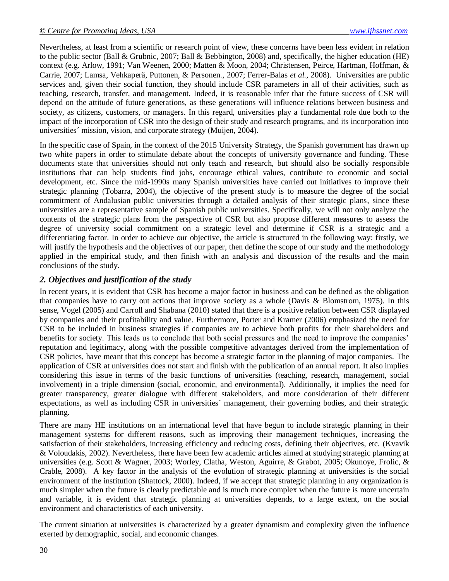Nevertheless, at least from a scientific or research point of view, these concerns have been less evident in relation to the public sector (Ball & Grubnic, 2007; Ball & Bebbington, 2008) and, specifically, the higher education (HE) context (e.g. Arlow, 1991; Van Weenen, 2000; Matten & Moon, 2004; Christensen, Peirce, Hartman, Hoffman, & Carrie*,* 2007; Lamsa, Vehkaperä, Puttonen, & Personen*.,* 2007; Ferrer-Balas *et al.,* 2008). Universities are public services and, given their social function, they should include CSR parameters in all of their activities, such as teaching, research, transfer, and management. Indeed, it is reasonable infer that the future success of CSR will depend on the attitude of future generations, as these generations will influence relations between business and society, as citizens, customers, or managers. In this regard, universities play a fundamental role due both to the impact of the incorporation of CSR into the design of their study and research programs, and its incorporation into universities´ mission, vision, and corporate strategy (Muijen, 2004).

In the specific case of Spain, in the context of the 2015 University Strategy, the Spanish government has drawn up two white papers in order to stimulate debate about the concepts of university governance and funding. These documents state that universities should not only teach and research, but should also be socially responsible institutions that can help students find jobs, encourage ethical values, contribute to economic and social development, etc. Since the mid-1990s many Spanish universities have carried out initiatives to improve their strategic planning (Tobarra, 2004), the objective of the present study is to measure the degree of the social commitment of Andalusian public universities through a detailed analysis of their strategic plans, since these universities are a representative sample of Spanish public universities. Specifically, we will not only analyze the contents of the strategic plans from the perspective of CSR but also propose different measures to assess the degree of university social commitment on a strategic level and determine if CSR is a strategic and a differentiating factor. In order to achieve our objective, the article is structured in the following way: firstly, we will justify the hypothesis and the objectives of our paper, then define the scope of our study and the methodology applied in the empirical study, and then finish with an analysis and discussion of the results and the main conclusions of the study.

# *2. Objectives and justification of the study*

In recent years, it is evident that CSR has become a major factor in business and can be defined as the obligation that companies have to carry out actions that improve society as a whole (Davis & Blomstrom, 1975). In this sense, Vogel (2005) and Carroll and Shabana (2010) stated that there is a positive relation between CSR displayed by companies and their profitability and value. Furthermore, Porter and Kramer (2006) emphasized the need for CSR to be included in business strategies if companies are to achieve both profits for their shareholders and benefits for society. This leads us to conclude that both social pressures and the need to improve the companies" reputation and legitimacy, along with the possible competitive advantages derived from the implementation of CSR policies, have meant that this concept has become a strategic factor in the planning of major companies. The application of CSR at universities does not start and finish with the publication of an annual report. It also implies considering this issue in terms of the basic functions of universities (teaching, research, management, social involvement) in a triple dimension (social, economic, and environmental). Additionally, it implies the need for greater transparency, greater dialogue with different stakeholders, and more consideration of their different expectations, as well as including CSR in universities´ management, their governing bodies, and their strategic planning.

There are many HE institutions on an international level that have begun to include strategic planning in their management systems for different reasons, such as improving their management techniques, increasing the satisfaction of their stakeholders, increasing efficiency and reducing costs, defining their objectives, etc. (Kvavik & Voloudakis, 2002). Nevertheless, there have been few academic articles aimed at studying strategic planning at universities (e.g. Scott & Wagner, 2003; Worley, Clatha, Weston, Aguirre, & Grabot, 2005; Okunoye, Frolic, & Crable, 2008). A key factor in the analysis of the evolution of strategic planning at universities is the social environment of the institution (Shattock, 2000). Indeed, if we accept that strategic planning in any organization is much simpler when the future is clearly predictable and is much more complex when the future is more uncertain and variable, it is evident that strategic planning at universities depends, to a large extent, on the social environment and characteristics of each university.

The current situation at universities is characterized by a greater dynamism and complexity given the influence exerted by demographic, social, and economic changes.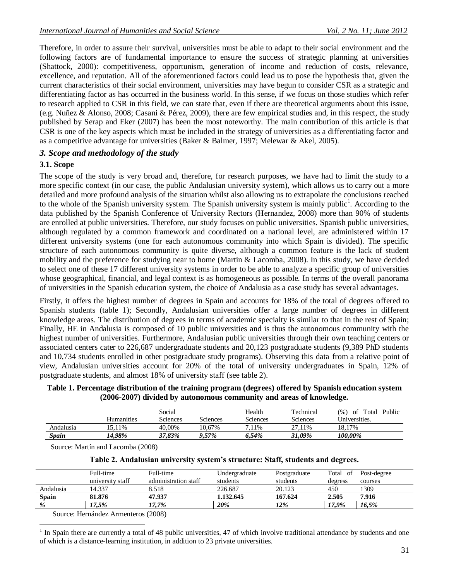Therefore, in order to assure their survival, universities must be able to adapt to their social environment and the following factors are of fundamental importance to ensure the success of strategic planning at universities (Shattock, 2000): competitiveness, opportunism, generation of income and reduction of costs, relevance, excellence, and reputation. All of the aforementioned factors could lead us to pose the hypothesis that, given the current characteristics of their social environment, universities may have begun to consider CSR as a strategic and differentiating factor as has occurred in the business world. In this sense, if we focus on those studies which refer to research applied to CSR in this field, we can state that, even if there are theoretical arguments about this issue, (e.g. Nuñez & Alonso, 2008; Casani & Pérez, 2009), there are few empirical studies and, in this respect, the study published by Serap and Eker (2007) has been the most noteworthy. The main contribution of this article is that CSR is one of the key aspects which must be included in the strategy of universities as a differentiating factor and as a competitive advantage for universities (Baker & Balmer, 1997; Melewar & Akel, 2005).

### *3. Scope and methodology of the study*

### **3.1. Scope**

The scope of the study is very broad and, therefore, for research purposes, we have had to limit the study to a more specific context (in our case, the public Andalusian university system), which allows us to carry out a more detailed and more profound analysis of the situation whilst also allowing us to extrapolate the conclusions reached to the whole of the Spanish university system. The Spanish university system is mainly public<sup>1</sup>. According to the data published by the Spanish Conference of University Rectors (Hernandez, 2008) more than 90% of students are enrolled at public universities. Therefore, our study focuses on public universities. Spanish public universities, although regulated by a common framework and coordinated on a national level, are administered within 17 different university systems (one for each autonomous community into which Spain is divided). The specific structure of each autonomous community is quite diverse, although a common feature is the lack of student mobility and the preference for studying near to home (Martin & Lacomba, 2008). In this study, we have decided to select one of these 17 different university systems in order to be able to analyze a specific group of universities whose geographical, financial, and legal context is as homogeneous as possible. In terms of the overall panorama of universities in the Spanish education system, the choice of Andalusia as a case study has several advantages.

Firstly, it offers the highest number of degrees in Spain and accounts for 18% of the total of degrees offered to Spanish students (table 1); Secondly, Andalusian universities offer a large number of degrees in different knowledge areas. The distribution of degrees in terms of academic specialty is similar to that in the rest of Spain; Finally, HE in Andalusia is composed of 10 public universities and is thus the autonomous community with the highest number of universities. Furthermore, Andalusian public universities through their own teaching centers or associated centers cater to 226,687 undergraduate students and 20,123 postgraduate students (9,389 PhD students and 10,734 students enrolled in other postgraduate study programs). Observing this data from a relative point of view, Andalusian universities account for 20% of the total of university undergraduates in Spain, 12% of postgraduate students, and almost 18% of university staff (see table 2).

**Table 1. Percentage distribution of the training program (degrees) offered by Spanish education system (2006-2007) divided by autonomous community and areas of knowledge.**

|           |                   | Social   |          | Health   | Technical | (%)<br>Public<br>Total<br>ot |
|-----------|-------------------|----------|----------|----------|-----------|------------------------------|
|           | <b>Humanities</b> | Sciences | Sciences | Sciences | Sciences  | Universities.                |
| Andalusia | 15.11%            | 40.00%   | 10.67%   | 7.11%    | 27.11%    | 18.17%                       |
| Spain     | 14.98%            | 37.83%   | 9.57%    | 6.54%    | 31.09%    | 100.00%                      |

Source: Martín and Lacomba (2008)

|  | Table 2. Andalusian university system's structure: Staff, students and degrees. |  |  |
|--|---------------------------------------------------------------------------------|--|--|
|  |                                                                                 |  |  |

|              | Full-time        | Full-time            | Undergraduate | Postgraduate | Total of | Post-degree |  |
|--------------|------------------|----------------------|---------------|--------------|----------|-------------|--|
|              | university staff | administration staff | students      | students     | degress  | courses     |  |
| Andalusia    | 14.337           | 8.518                | 226.687       | 20.123       | 450      | 1309        |  |
| <b>Spain</b> | 81.876           | 47.937               | 1.132.645     | 167.624      | 2.505    | 7.916       |  |
| %            | 17.5%            | 17.7%                | 20%           | 12%          | 17.9%    | 16.5%       |  |
|              |                  |                      |               |              |          |             |  |

Source: Hernández Armenteros (2008)

 $\overline{a}$ 

1 In Spain there are currently a total of 48 public universities, 47 of which involve traditional attendance by students and one of which is a distance-learning institution, in addition to 23 private universities.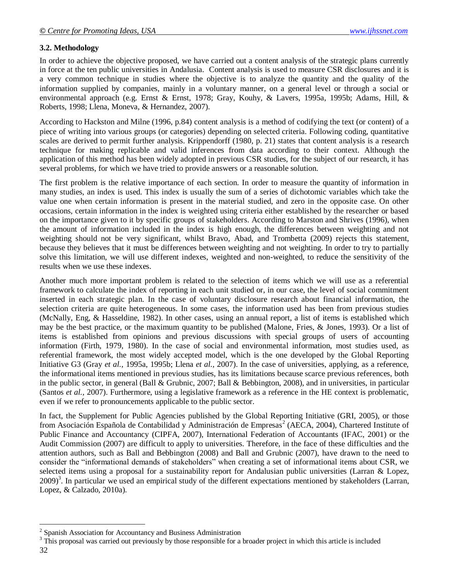# **3.2. Methodology**

In order to achieve the objective proposed, we have carried out a content analysis of the strategic plans currently in force at the ten public universities in Andalusia. Content analysis is used to measure CSR disclosures and it is a very common technique in studies where the objective is to analyze the quantity and the quality of the information supplied by companies, mainly in a voluntary manner, on a general level or through a social or environmental approach (e.g. Ernst & Ernst, 1978; Gray, Kouhy, & Lavers, 1995a, 1995b; Adams, Hill, & Roberts, 1998; Llena, Moneva, & Hernandez, 2007).

According to Hackston and Milne (1996, p.84) content analysis is a method of codifying the text (or content) of a piece of writing into various groups (or categories) depending on selected criteria. Following coding, quantitative scales are derived to permit further analysis. Krippendorff (1980, p. 21) states that content analysis is a research technique for making replicable and valid inferences from data according to their context. Although the application of this method has been widely adopted in previous CSR studies, for the subject of our research, it has several problems, for which we have tried to provide answers or a reasonable solution.

The first problem is the relative importance of each section. In order to measure the quantity of information in many studies, an index is used. This index is usually the sum of a series of dichotomic variables which take the value one when certain information is present in the material studied, and zero in the opposite case. On other occasions, certain information in the index is weighted using criteria either established by the researcher or based on the importance given to it by specific groups of stakeholders. According to Marston and Shrives (1996), when the amount of information included in the index is high enough, the differences between weighting and not weighting should not be very significant, whilst Bravo, Abad, and Trombetta (2009) rejects this statement, because they believes that it must be differences between weighting and not weighting. In order to try to partially solve this limitation, we will use different indexes, weighted and non-weighted, to reduce the sensitivity of the results when we use these indexes.

Another much more important problem is related to the selection of items which we will use as a referential framework to calculate the index of reporting in each unit studied or, in our case, the level of social commitment inserted in each strategic plan. In the case of voluntary disclosure research about financial information, the selection criteria are quite heterogeneous. In some cases, the information used has been from previous studies (McNally, Eng, & Hasseldine, 1982). In other cases, using an annual report, a list of items is established which may be the best practice, or the maximum quantity to be published (Malone, Fries, & Jones, 1993). Or a list of items is established from opinions and previous discussions with special groups of users of accounting information (Firth, 1979, 1980). In the case of social and environmental information, most studies used, as referential framework, the most widely accepted model, which is the one developed by the Global Reporting Initiative G3 (Gray *et al.,* 1995a, 1995b; Llena *et al.,* 2007). In the case of universities, applying, as a reference, the informational items mentioned in previous studies, has its limitations because scarce previous references, both in the public sector, in general (Ball & Grubnic, 2007; Ball & Bebbington, 2008), and in universities, in particular (Santos *et al.,* 2007). Furthermore, using a legislative framework as a reference in the HE context is problematic, even if we refer to pronouncements applicable to the public sector.

In fact, the Supplement for Public Agencies published by the Global Reporting Initiative (GRI, 2005), or those from Asociación Española de Contabilidad y Administración de Empresas<sup>2</sup> (AECA, 2004), Chartered Institute of Public Finance and Accountancy (CIPFA, 2007), International Federation of Accountants (IFAC, 2001) or the Audit Commission (2007) are difficult to apply to universities. Therefore, in the face of these difficulties and the attention authors, such as Ball and Bebbington (2008) and Ball and Grubnic (2007), have drawn to the need to consider the "informational demands of stakeholders" when creating a set of informational items about CSR, we selected items using a proposal for a sustainability report for Andalusian public universities (Larran & Lopez, 2009)<sup>3</sup>. In particular we used an empirical study of the different expectations mentioned by stakeholders (Larran, Lopez, & Calzado, 2010a).

 $\overline{a}$ 

<sup>&</sup>lt;sup>2</sup> Spanish Association for Accountancy and Business Administration

<sup>32</sup> <sup>3</sup> This proposal was carried out previously by those responsible for a broader project in which this article is included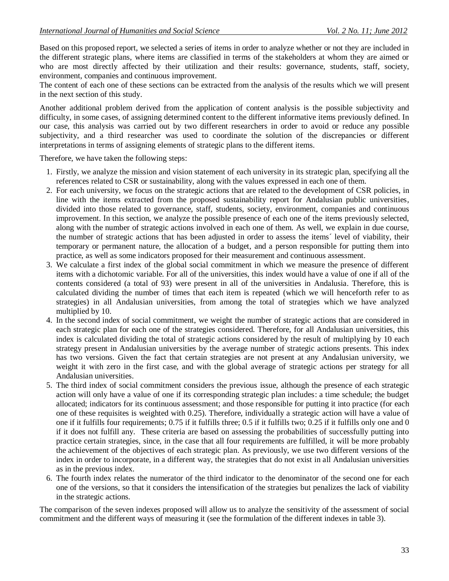Based on this proposed report, we selected a series of items in order to analyze whether or not they are included in the different strategic plans, where items are classified in terms of the stakeholders at whom they are aimed or who are most directly affected by their utilization and their results: governance, students, staff, society, environment, companies and continuous improvement.

The content of each one of these sections can be extracted from the analysis of the results which we will present in the next section of this study.

Another additional problem derived from the application of content analysis is the possible subjectivity and difficulty, in some cases, of assigning determined content to the different informative items previously defined. In our case, this analysis was carried out by two different researchers in order to avoid or reduce any possible subjectivity, and a third researcher was used to coordinate the solution of the discrepancies or different interpretations in terms of assigning elements of strategic plans to the different items.

Therefore, we have taken the following steps:

- 1. Firstly, we analyze the mission and vision statement of each university in its strategic plan, specifying all the references related to CSR or sustainability, along with the values expressed in each one of them.
- 2. For each university, we focus on the strategic actions that are related to the development of CSR policies, in line with the items extracted from the proposed sustainability report for Andalusian public universities, divided into those related to governance, staff, students, society, environment, companies and continuous improvement. In this section, we analyze the possible presence of each one of the items previously selected, along with the number of strategic actions involved in each one of them. As well, we explain in due course, the number of strategic actions that has been adjusted in order to assess the items´ level of viability, their temporary or permanent nature, the allocation of a budget, and a person responsible for putting them into practice, as well as some indicators proposed for their measurement and continuous assessment.
- 3. We calculate a first index of the global social commitment in which we measure the presence of different items with a dichotomic variable. For all of the universities, this index would have a value of one if all of the contents considered (a total of 93) were present in all of the universities in Andalusia. Therefore, this is calculated dividing the number of times that each item is repeated (which we will henceforth refer to as strategies) in all Andalusian universities, from among the total of strategies which we have analyzed multiplied by 10.
- 4. In the second index of social commitment, we weight the number of strategic actions that are considered in each strategic plan for each one of the strategies considered. Therefore, for all Andalusian universities, this index is calculated dividing the total of strategic actions considered by the result of multiplying by 10 each strategy present in Andalusian universities by the average number of strategic actions presents. This index has two versions. Given the fact that certain strategies are not present at any Andalusian university, we weight it with zero in the first case, and with the global average of strategic actions per strategy for all Andalusian universities.
- 5. The third index of social commitment considers the previous issue, although the presence of each strategic action will only have a value of one if its corresponding strategic plan includes: a time schedule; the budget allocated; indicators for its continuous assessment; and those responsible for putting it into practice (for each one of these requisites is weighted with 0.25). Therefore, individually a strategic action will have a value of one if it fulfills four requirements; 0.75 if it fulfills three; 0.5 if it fulfills two; 0.25 if it fulfills only one and 0 if it does not fulfill any. These criteria are based on assessing the probabilities of successfully putting into practice certain strategies, since, in the case that all four requirements are fulfilled, it will be more probably the achievement of the objectives of each strategic plan. As previously, we use two different versions of the index in order to incorporate, in a different way, the strategies that do not exist in all Andalusian universities as in the previous index.
- 6. The fourth index relates the numerator of the third indicator to the denominator of the second one for each one of the versions, so that it considers the intensification of the strategies but penalizes the lack of viability in the strategic actions.

The comparison of the seven indexes proposed will allow us to analyze the sensitivity of the assessment of social commitment and the different ways of measuring it (see the formulation of the different indexes in table 3).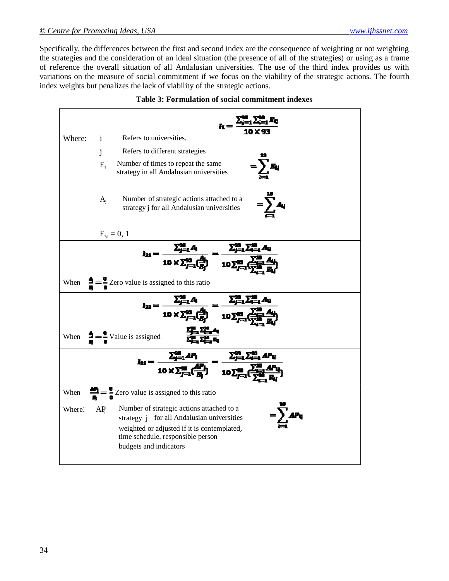Specifically, the differences between the first and second index are the consequence of weighting or not weighting the strategies and the consideration of an ideal situation (the presence of all of the strategies) or using as a frame of reference the overall situation of all Andalusian universities. The use of the third index provides us with variations on the measure of social commitment if we focus on the viability of the strategic actions. The fourth index weights but penalizes the lack of viability of the strategic actions.

| Where: | $\mathbf{i}$    | Refers to universities.                                                                                                                                                                                                  |
|--------|-----------------|--------------------------------------------------------------------------------------------------------------------------------------------------------------------------------------------------------------------------|
|        | j               | Refers to different strategies                                                                                                                                                                                           |
|        | $E_i$           | Number of times to repeat the same<br>$=\sum_{i} B_{ij}$<br>strategy in all Andalusian universities                                                                                                                      |
|        | $A_i$           | Number of strategic actions attached to a<br>$=\sum_{\lambda} A_{\lambda}$<br>strategy j for all Andalusian universities                                                                                                 |
|        |                 | $E_{i,j} = 0, 1$                                                                                                                                                                                                         |
|        |                 | $I_{21} = \frac{\sum_{j=1}^{n} A_j}{10 \times \sum_{j=1}^{n} \left(\frac{A_j}{B}\right)} = \frac{\sum_{j=1}^{n} \sum_{i=1}^{n} A_{ij}}{10 \sum_{i=1}^{n} \left(\frac{A_{ij}}{B_{ij}}\right)}$                            |
|        |                 |                                                                                                                                                                                                                          |
| When   |                 | $\frac{1}{\pi} = \frac{1}{\pi}$ Zero value is assigned to this ratio                                                                                                                                                     |
|        |                 |                                                                                                                                                                                                                          |
|        |                 | $I_{22} = \frac{\sum_{j=1}^{m} A_j}{10 \times \sum_{j=1}^{98} \left(\frac{A_j}{B_j}\right)} = \frac{\sum_{j=1}^{98} \sum_{i=1}^{98} A_i}{10 \sum_{i=1}^{98} \left(\frac{A_i}{B_i}\right)}$                               |
|        |                 | When $\frac{1}{2}$ = $\frac{1}{4}$ Value is assigned                                                                                                                                                                     |
|        |                 |                                                                                                                                                                                                                          |
|        |                 | $l_{31} = \frac{\sum_{j=1}^{m} AP_j}{10 \times \sum_{j=1}^{m} \left(\frac{AP_j}{B_j}\right)} = \frac{\sum_{j=1}^{m} \sum_{i=1}^{m} AP_{ij}}{10 \sum_{j=1}^{m} \left(\frac{\sum_{i=1}^{m} AP_i}{m}\right)}$               |
| When   |                 | $\frac{1}{\epsilon} = \frac{1}{\epsilon}$ Zero value is assigned to this ratio                                                                                                                                           |
| Where: | AP <sub>i</sub> | Number of strategic actions attached to a<br>$=\sum AP_{ij}$<br>strategy j for all Andalusian universities<br>weighted or adjusted if it is contemplated,<br>time schedule, responsible person<br>budgets and indicators |

|  |  |  |  |  | <b>Table 3: Formulation of social commitment indexes</b> |  |
|--|--|--|--|--|----------------------------------------------------------|--|
|--|--|--|--|--|----------------------------------------------------------|--|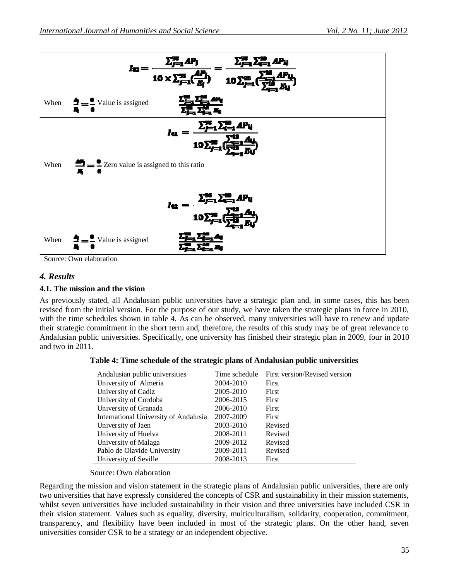

Source: Own elaboration

# *4. Results*

#### **4.1. The mission and the vision**

As previously stated, all Andalusian public universities have a strategic plan and, in some cases, this has been revised from the initial version. For the purpose of our study, we have taken the strategic plans in force in 2010, with the time schedules shown in table 4. As can be observed, many universities will have to renew and update their strategic commitment in the short term and, therefore, the results of this study may be of great relevance to Andalusian public universities. Specifically, one university has finished their strategic plan in 2009, four in 2010 and two in 2011.

|  | Table 4: Time schedule of the strategic plans of Andalusian public universities |  |  |
|--|---------------------------------------------------------------------------------|--|--|
|  |                                                                                 |  |  |

| Andalusian public universities        | Time schedule | First version/Revised version |
|---------------------------------------|---------------|-------------------------------|
| University of Almeria                 | 2004-2010     | <b>First</b>                  |
| University of Cadiz                   | 2005-2010     | First                         |
| University of Cordoba                 | 2006-2015     | <b>First</b>                  |
| University of Granada                 | 2006-2010     | First                         |
| International University of Andalusia | 2007-2009     | <b>First</b>                  |
| University of Jaen                    | 2003-2010     | Revised                       |
| University of Huelva                  | 2008-2011     | Revised                       |
| University of Malaga                  | 2009-2012     | Revised                       |
| Pablo de Olavide University           | 2009-2011     | Revised                       |
| University of Seville                 | 2008-2013     | First                         |

#### Source: Own elaboration

Regarding the mission and vision statement in the strategic plans of Andalusian public universities, there are only two universities that have expressly considered the concepts of CSR and sustainability in their mission statements, whilst seven universities have included sustainability in their vision and three universities have included CSR in their vision statement. Values such as equality, diversity, multiculturalism, solidarity, cooperation, commitment, transparency, and flexibility have been included in most of the strategic plans. On the other hand, seven universities consider CSR to be a strategy or an independent objective.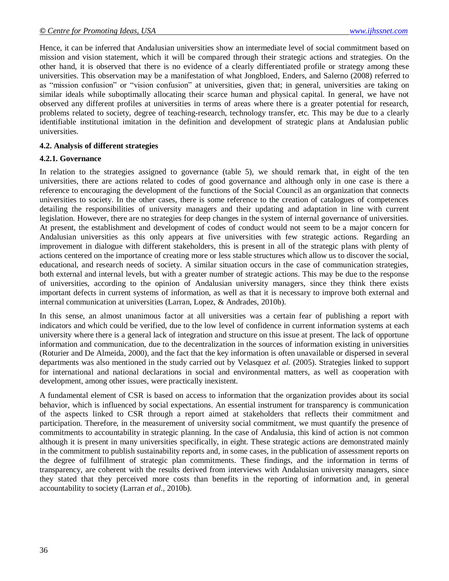Hence, it can be inferred that Andalusian universities show an intermediate level of social commitment based on mission and vision statement, which it will be compared through their strategic actions and strategies. On the other hand, it is observed that there is no evidence of a clearly differentiated profile or strategy among these universities. This observation may be a manifestation of what Jongbloed, Enders, and Salerno (2008) referred to as "mission confusion" or "vision confusion" at universities, given that; in general, universities are taking on similar ideals while suboptimally allocating their scarce human and physical capital. In general, we have not observed any different profiles at universities in terms of areas where there is a greater potential for research, problems related to society, degree of teaching-research, technology transfer, etc. This may be due to a clearly identifiable institutional imitation in the definition and development of strategic plans at Andalusian public universities.

### **4.2. Analysis of different strategies**

#### **4.2.1. Governance**

In relation to the strategies assigned to governance (table 5), we should remark that, in eight of the ten universities, there are actions related to codes of good governance and although only in one case is there a reference to encouraging the development of the functions of the Social Council as an organization that connects universities to society. In the other cases, there is some reference to the creation of catalogues of competences detailing the responsibilities of university managers and their updating and adaptation in line with current legislation. However, there are no strategies for deep changes in the system of internal governance of universities. At present, the establishment and development of codes of conduct would not seem to be a major concern for Andalusian universities as this only appears at five universities with few strategic actions. Regarding an improvement in dialogue with different stakeholders, this is present in all of the strategic plans with plenty of actions centered on the importance of creating more or less stable structures which allow us to discover the social, educational, and research needs of society. A similar situation occurs in the case of communication strategies, both external and internal levels, but with a greater number of strategic actions. This may be due to the response of universities, according to the opinion of Andalusian university managers, since they think there exists important defects in current systems of information, as well as that it is necessary to improve both external and internal communication at universities (Larran, Lopez, & Andrades, 2010b).

In this sense, an almost unanimous factor at all universities was a certain fear of publishing a report with indicators and which could be verified, due to the low level of confidence in current information systems at each university where there is a general lack of integration and structure on this issue at present. The lack of opportune information and communication, due to the decentralization in the sources of information existing in universities (Roturier and De Almeida, 2000), and the fact that the key information is often unavailable or dispersed in several departments was also mentioned in the study carried out by Velasquez *et al.* (2005). Strategies linked to support for international and national declarations in social and environmental matters, as well as cooperation with development, among other issues, were practically inexistent.

A fundamental element of CSR is based on access to information that the organization provides about its social behavior, which is influenced by social expectations. An essential instrument for transparency is communication of the aspects linked to CSR through a report aimed at stakeholders that reflects their commitment and participation. Therefore, in the measurement of university social commitment, we must quantify the presence of commitments to accountability in strategic planning. In the case of Andalusia, this kind of action is not common although it is present in many universities specifically, in eight. These strategic actions are demonstrated mainly in the commitment to publish sustainability reports and, in some cases, in the publication of assessment reports on the degree of fulfillment of strategic plan commitments. These findings, and the information in terms of transparency, are coherent with the results derived from interviews with Andalusian university managers, since they stated that they perceived more costs than benefits in the reporting of information and, in general accountability to society (Larran *et al.,* 2010b).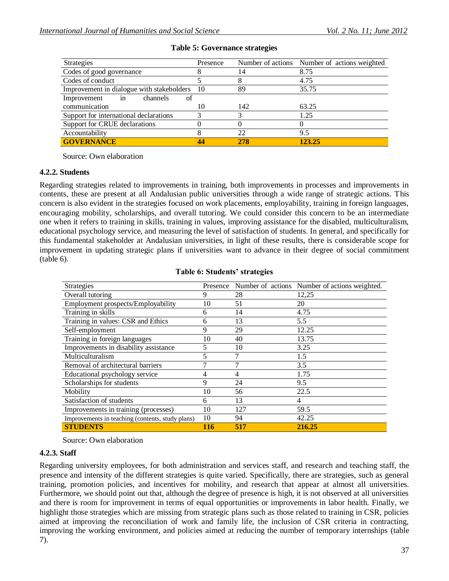| <b>Strategies</b>                         | Presence |     | Number of actions Number of actions weighted |
|-------------------------------------------|----------|-----|----------------------------------------------|
| Codes of good governance                  |          | 14  | 8.75                                         |
| Codes of conduct                          |          |     | 4.75                                         |
| Improvement in dialogue with stakeholders | - 10     | 89  | 35.75                                        |
| Improvement<br>channels<br>of<br>in       |          |     |                                              |
| communication                             | 10       | 142 | 63.25                                        |
| Support for international declarations    |          |     | 1.25                                         |
| Support for CRUE declarations             |          |     |                                              |
| Accountability                            |          | 22  | 9.5                                          |
| <b>GOVERNANCE</b>                         | 44       | 278 | 123.25                                       |

### **Table 5: Governance strategies**

Source: Own elaboration

#### **4.2.2. Students**

Regarding strategies related to improvements in training, both improvements in processes and improvements in contents, these are present at all Andalusian public universities through a wide range of strategic actions. This concern is also evident in the strategies focused on work placements, employability, training in foreign languages, encouraging mobility, scholarships, and overall tutoring. We could consider this concern to be an intermediate one when it refers to training in skills, training in values, improving assistance for the disabled, multiculturalism, educational psychology service, and measuring the level of satisfaction of students. In general, and specifically for this fundamental stakeholder at Andalusian universities, in light of these results, there is considerable scope for improvement in updating strategic plans if universities want to advance in their degree of social commitment (table 6).

| <b>Strategies</b>                                |     |     | Presence Number of actions Number of actions weighted. |
|--------------------------------------------------|-----|-----|--------------------------------------------------------|
| Overall tutoring                                 | 9   | 28  | 12,25                                                  |
| Employment prospects/Employability               | 10  | 51  | 20                                                     |
| Training in skills                               | 6   | 14  | 4.75                                                   |
| Training in values: CSR and Ethics               | 6   | 13  | 5.5                                                    |
| Self-employment                                  | 9   | 29  | 12.25                                                  |
| Training in foreign languages                    | 10  | 40  | 13.75                                                  |
| Improvements in disability assistance            | 5   | 10  | 3.25                                                   |
| Multiculturalism                                 | 5   | 7   | 1.5                                                    |
| Removal of architectural barriers                | 7   | 7   | 3.5                                                    |
| Educational psychology service                   | 4   | 4   | 1.75                                                   |
| Scholarships for students                        | 9   | 24  | 9.5                                                    |
| Mobility                                         | 10  | 56  | 22.5                                                   |
| Satisfaction of students                         | 6   | 13  | $\overline{4}$                                         |
| Improvements in training (processes)             | 10  | 127 | 59.5                                                   |
| Improvements in teaching (contents, study plans) | 10  | 94  | 42.25                                                  |
| <b>STUDENTS</b>                                  | 116 | 517 | 216.25                                                 |

#### **Table 6: Students' strategies**

Source: Own elaboration

#### **4.2.3. Staff**

Regarding university employees, for both administration and services staff, and research and teaching staff, the presence and intensity of the different strategies is quite varied. Specifically, there are strategies, such as general training, promotion policies, and incentives for mobility, and research that appear at almost all universities. Furthermore, we should point out that, although the degree of presence is high, it is not observed at all universities and there is room for improvement in terms of equal opportunities or improvements in labor health. Finally, we highlight those strategies which are missing from strategic plans such as those related to training in CSR, policies aimed at improving the reconciliation of work and family life, the inclusion of CSR criteria in contracting, improving the working environment, and policies aimed at reducing the number of temporary internships (table 7).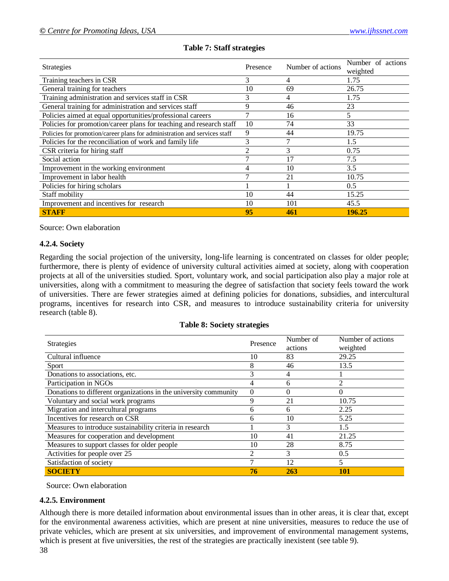| <b>Strategies</b><br>Presence                                             |    | Number of actions | Number of actions<br>weighted |
|---------------------------------------------------------------------------|----|-------------------|-------------------------------|
| Training teachers in CSR                                                  | 3  | 4                 | 1.75                          |
| General training for teachers                                             | 10 | 69                | 26.75                         |
| Training administration and services staff in CSR                         | 3  | 4                 | 1.75                          |
| General training for administration and services staff                    | 9  | 46                | 23                            |
| Policies aimed at equal opportunities/professional careers                |    | 16                | 5                             |
| Policies for promotion/career plans for teaching and research staff       | 10 | 74                | 33                            |
| Policies for promotion/career plans for administration and services staff | 9  | 44                | 19.75                         |
| Policies for the reconciliation of work and family life                   | 3  |                   | 1.5                           |
| CSR criteria for hiring staff                                             |    | 3                 | 0.75                          |
| Social action                                                             |    | 17                | 7.5                           |
| Improvement in the working environment                                    | 4  | 10                | 3.5                           |
| Improvement in labor health                                               |    | 21                | 10.75                         |
| Policies for hiring scholars                                              |    |                   | 0.5                           |
| Staff mobility                                                            | 10 | 44                | 15.25                         |
| Improvement and incentives for research                                   | 10 | 101               | 45.5                          |
| <b>STAFF</b>                                                              | 95 | 461               | 196.25                        |

# **Table 7: Staff strategies**

Source: Own elaboration

#### **4.2.4. Society**

Regarding the social projection of the university, long-life learning is concentrated on classes for older people; furthermore, there is plenty of evidence of university cultural activities aimed at society, along with cooperation projects at all of the universities studied. Sport, voluntary work, and social participation also play a major role at universities, along with a commitment to measuring the degree of satisfaction that society feels toward the work of universities. There are fewer strategies aimed at defining policies for donations, subsidies, and intercultural programs, incentives for research into CSR, and measures to introduce sustainability criteria for university research (table 8).

#### **Table 8: Society strategies**

| Strategies                                                       | Presence | Number of | Number of actions        |
|------------------------------------------------------------------|----------|-----------|--------------------------|
|                                                                  |          | actions   | weighted                 |
| Cultural influence                                               | 10       | 83        | 29.25                    |
| Sport                                                            | 8        | 46        | 13.5                     |
| Donations to associations, etc.                                  |          | 4         |                          |
| Participation in NGOs                                            | 4        | 6         | $\overline{\mathcal{L}}$ |
| Donations to different organizations in the university community | $\Omega$ | $\theta$  | $\Omega$                 |
| Voluntary and social work programs                               | 9        | 21        | 10.75                    |
| Migration and intercultural programs                             | h        | 6         | 2.25                     |
| Incentives for research on CSR                                   | 6        | 10        | 5.25                     |
| Measures to introduce sustainability criteria in research        |          | 3         | 1.5                      |
| Measures for cooperation and development                         | 10       | 41        | 21.25                    |
| Measures to support classes for older people                     | 10       | 28        | 8.75                     |
| Activities for people over 25                                    | ◠        | 3         | 0.5                      |
| Satisfaction of society                                          |          | 12        | 5                        |
| <b>SOCIETY</b>                                                   | 76       | 263       | 101                      |

Source: Own elaboration

# **4.2.5. Environment**

Although there is more detailed information about environmental issues than in other areas, it is clear that, except for the environmental awareness activities, which are present at nine universities, measures to reduce the use of private vehicles, which are present at six universities, and improvement of environmental management systems, which is present at five universities, the rest of the strategies are practically inexistent (see table 9).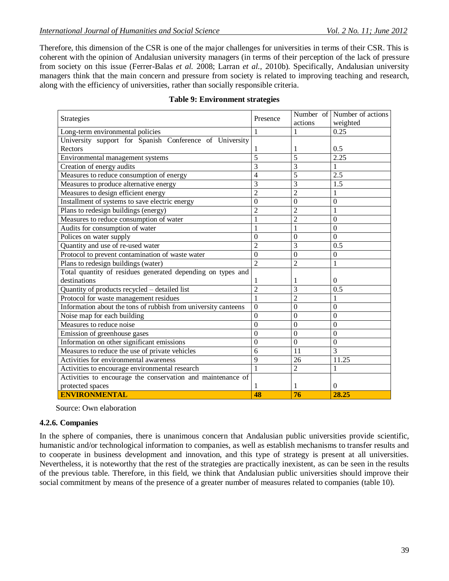Therefore, this dimension of the CSR is one of the major challenges for universities in terms of their CSR. This is coherent with the opinion of Andalusian university managers (in terms of their perception of the lack of pressure from society on this issue (Ferrer-Balas *et al.* 2008; Larran *et al.,* 2010b). Specifically, Andalusian university managers think that the main concern and pressure from society is related to improving teaching and research, along with the efficiency of universities, rather than socially responsible criteria.

| Strategies                                                     | Presence       |                | Number of Number of actions |
|----------------------------------------------------------------|----------------|----------------|-----------------------------|
|                                                                |                | actions        | weighted                    |
| Long-term environmental policies                               |                |                | 0.25                        |
| University support for Spanish Conference of University        |                |                |                             |
| Rectors                                                        |                | 1              | 0.5                         |
| Environmental management systems                               | 5              | 5              | 2.25                        |
| Creation of energy audits                                      | $\overline{3}$ | 3              | 1                           |
| Measures to reduce consumption of energy                       | $\overline{4}$ | 5              | $\overline{2.5}$            |
| Measures to produce alternative energy                         | 3              | 3              | $1.\overline{5}$            |
| Measures to design efficient energy                            | $\overline{2}$ | $\overline{2}$ | 1                           |
| Installment of systems to save electric energy                 | $\overline{0}$ | $\theta$       | $\overline{0}$              |
| Plans to redesign buildings (energy)                           | $\overline{c}$ | $\overline{c}$ | $\mathbf{1}$                |
| Measures to reduce consumption of water                        | $\mathbf{1}$   | $\overline{2}$ | $\boldsymbol{0}$            |
| Audits for consumption of water                                |                |                | $\boldsymbol{0}$            |
| Polices on water supply                                        | $\overline{0}$ | $\mathbf{0}$   | $\Omega$                    |
| Quantity and use of re-used water                              | $\overline{2}$ | 3              | 0.5                         |
| Protocol to prevent contamination of waste water               | $\overline{0}$ | $\theta$       | $\mathbf{0}$                |
| Plans to redesign buildings (water)                            | $\overline{2}$ | $\overline{2}$ | $\mathbf{1}$                |
| Total quantity of residues generated depending on types and    |                |                |                             |
| destinations                                                   |                | 1              | $\mathbf{0}$                |
| Quantity of products recycled - detailed list                  | $\overline{2}$ | 3              | 0.5                         |
| Protocol for waste management residues                         | $\mathbf{1}$   | $\overline{2}$ | 1                           |
| Information about the tons of rubbish from university canteens | $\overline{0}$ | $\mathbf{0}$   | $\boldsymbol{0}$            |
| Noise map for each building                                    | $\overline{0}$ | $\theta$       | $\overline{0}$              |
| Measures to reduce noise                                       | $\theta$       | $\theta$       | $\theta$                    |
| Emission of greenhouse gases                                   | $\overline{0}$ | $\theta$       | $\boldsymbol{0}$            |
| Information on other significant emissions                     | $\overline{0}$ | $\theta$       | $\boldsymbol{0}$            |
| Measures to reduce the use of private vehicles                 | 6              | 11             | 3                           |
| Activities for environmental awareness                         | $\overline{9}$ | 26             | 11.25                       |
| Activities to encourage environmental research                 | 1              | $\overline{2}$ | 1                           |
| Activities to encourage the conservation and maintenance of    |                |                |                             |
| protected spaces                                               |                |                | 0                           |
| <b>ENVIRONMENTAL</b>                                           | 48             | 76             | 28.25                       |

# **Table 9: Environment strategies**

Source: Own elaboration

# **4.2.6. Companies**

In the sphere of companies, there is unanimous concern that Andalusian public universities provide scientific, humanistic and/or technological information to companies, as well as establish mechanisms to transfer results and to cooperate in business development and innovation, and this type of strategy is present at all universities. Nevertheless, it is noteworthy that the rest of the strategies are practically inexistent, as can be seen in the results of the previous table. Therefore, in this field, we think that Andalusian public universities should improve their social commitment by means of the presence of a greater number of measures related to companies (table 10).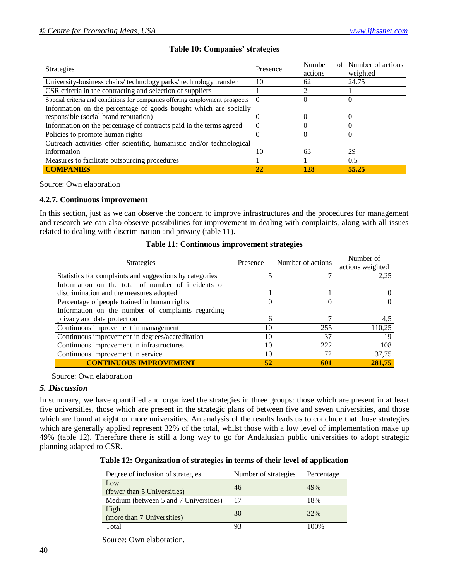|  |  | <b>Table 10: Companies' strategies</b> |  |
|--|--|----------------------------------------|--|
|--|--|----------------------------------------|--|

| <b>Strategies</b>                                                           | Presence | Number<br>actions | of Number of actions<br>weighted |
|-----------------------------------------------------------------------------|----------|-------------------|----------------------------------|
| University-business chairs/technology parks/technology transfer             | 10       | 62                | 24.75                            |
| CSR criteria in the contracting and selection of suppliers                  |          |                   |                                  |
| Special criteria and conditions for companies offering employment prospects |          |                   |                                  |
| Information on the percentage of goods bought which are socially            |          |                   |                                  |
| responsible (social brand reputation)                                       |          |                   |                                  |
| Information on the percentage of contracts paid in the terms agreed         |          |                   |                                  |
| Policies to promote human rights                                            |          |                   |                                  |
| Outreach activities offer scientific, humanistic and/or technological       |          |                   |                                  |
| information                                                                 | 10       | 63                | 29                               |
| Measures to facilitate outsourcing procedures                               |          |                   | 0.5                              |
| <b>COMPANIES</b>                                                            | 22       | 128               | 55.25                            |

Source: Own elaboration

#### **4.2.7. Continuous improvement**

In this section, just as we can observe the concern to improve infrastructures and the procedures for management and research we can also observe possibilities for improvement in dealing with complaints, along with all issues related to dealing with discrimination and privacy (table 11).

| Table 11: Continuous improvement strategies |
|---------------------------------------------|
|                                             |

| <b>Strategies</b>                                       | Presence | Number of actions | Number of<br>actions weighted |
|---------------------------------------------------------|----------|-------------------|-------------------------------|
| Statistics for complaints and suggestions by categories |          |                   | 2,25                          |
| Information on the total of number of incidents of      |          |                   |                               |
| discrimination and the measures adopted                 |          |                   |                               |
| Percentage of people trained in human rights            |          |                   |                               |
| Information on the number of complaints regarding       |          |                   |                               |
| privacy and data protection                             | 6        |                   | 4,5                           |
| Continuous improvement in management                    | 10       | 255               | 110,25                        |
| Continuous improvement in degrees/accreditation         | 10       | 37                | 19                            |
| Continuous improvement in infrastructures               | 10       | 222               | 108                           |
| Continuous improvement in service                       | 10       | 72                | 37,75                         |
| <b>CONTINUOUS IMPROVEMENT</b>                           | 52       | 601               | 281,75                        |

Source: Own elaboration

#### *5. Discussion*

In summary, we have quantified and organized the strategies in three groups: those which are present in at least five universities, those which are present in the strategic plans of between five and seven universities, and those which are found at eight or more universities. An analysis of the results leads us to conclude that those strategies which are generally applied represent 32% of the total, whilst those with a low level of implementation make up 49% (table 12). Therefore there is still a long way to go for Andalusian public universities to adopt strategic planning adapted to CSR.

**Table 12: Organization of strategies in terms of their level of application**

| Degree of inclusion of strategies     | Number of strategies | Percentage |  |
|---------------------------------------|----------------------|------------|--|
| Low<br>(fewer than 5 Universities)    | 46                   | 49%        |  |
| Medium (between 5 and 7 Universities) |                      | 18%        |  |
| High<br>(more than 7 Universities)    | 30                   | 32%        |  |
| Total                                 |                      | 100%       |  |

#### Source: Own elaboration.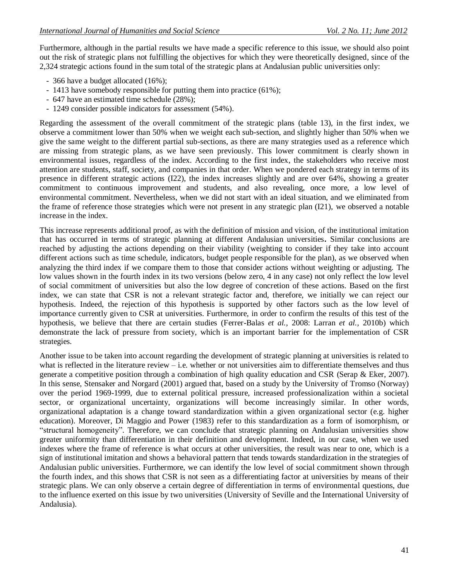Furthermore, although in the partial results we have made a specific reference to this issue, we should also point out the risk of strategic plans not fulfilling the objectives for which they were theoretically designed, since of the 2,324 strategic actions found in the sum total of the strategic plans at Andalusian public universities only:

- 366 have a budget allocated (16%);
- 1413 have somebody responsible for putting them into practice (61%);
- 647 have an estimated time schedule (28%);
- 1249 consider possible indicators for assessment (54%).

Regarding the assessment of the overall commitment of the strategic plans (table 13), in the first index, we observe a commitment lower than 50% when we weight each sub-section, and slightly higher than 50% when we give the same weight to the different partial sub-sections, as there are many strategies used as a reference which are missing from strategic plans, as we have seen previously. This lower commitment is clearly shown in environmental issues, regardless of the index. According to the first index, the stakeholders who receive most attention are students, staff, society, and companies in that order. When we pondered each strategy in terms of its presence in different strategic actions (I22), the index increases slightly and are over 64%, showing a greater commitment to continuous improvement and students, and also revealing, once more, a low level of environmental commitment. Nevertheless, when we did not start with an ideal situation, and we eliminated from the frame of reference those strategies which were not present in any strategic plan (I21), we observed a notable increase in the index.

This increase represents additional proof, as with the definition of mission and vision, of the institutional imitation that has occurred in terms of strategic planning at different Andalusian universities**.** Similar conclusions are reached by adjusting the actions depending on their viability (weighting to consider if they take into account different actions such as time schedule, indicators, budget people responsible for the plan), as we observed when analyzing the third index if we compare them to those that consider actions without weighting or adjusting. The low values shown in the fourth index in its two versions (below zero, 4 in any case) not only reflect the low level of social commitment of universities but also the low degree of concretion of these actions. Based on the first index, we can state that CSR is not a relevant strategic factor and, therefore, we initially we can reject our hypothesis. Indeed, the rejection of this hypothesis is supported by other factors such as the low level of importance currently given to CSR at universities. Furthermore, in order to confirm the results of this test of the hypothesis, we believe that there are certain studies (Ferrer-Balas *et al.,* 2008: Larran *et al.,* 2010b) which demonstrate the lack of pressure from society, which is an important barrier for the implementation of CSR strategies.

Another issue to be taken into account regarding the development of strategic planning at universities is related to what is reflected in the literature review – i.e. whether or not universities aim to differentiate themselves and thus generate a competitive position through a combination of high quality education and CSR (Serap & Eker, 2007). In this sense, Stensaker and Norgard (2001) argued that, based on a study by the University of Tromso (Norway) over the period 1969-1999, due to external political pressure, increased professionalization within a societal sector, or organizational uncertainty, organizations will become increasingly similar. In other words, organizational adaptation is a change toward standardization within a given organizational sector (e.g. higher education). Moreover, Di Maggio and Power (1983) refer to this standardization as a form of isomorphism, or "structural homogeneity". Therefore, we can conclude that strategic planning on Andalusian universities show greater uniformity than differentiation in their definition and development. Indeed, in our case, when we used indexes where the frame of reference is what occurs at other universities, the result was near to one, which is a sign of institutional imitation and shows a behavioral pattern that tends towards standardization in the strategies of Andalusian public universities. Furthermore, we can identify the low level of social commitment shown through the fourth index, and this shows that CSR is not seen as a differentiating factor at universities by means of their strategic plans. We can only observe a certain degree of differentiation in terms of environmental questions, due to the influence exerted on this issue by two universities (University of Seville and the International University of Andalusia).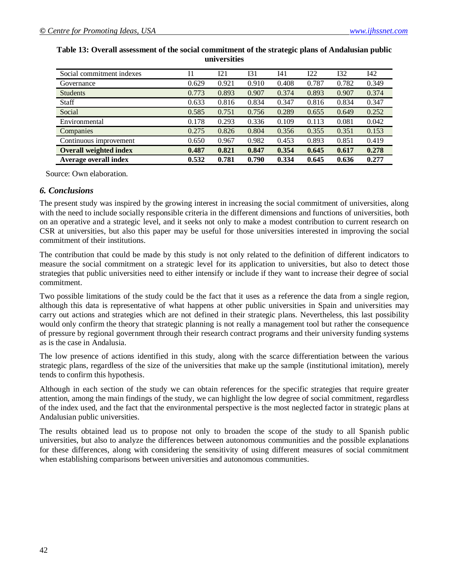| Social commitment indexes     | I1    | I21   | I31   | I41   | 122   | 132   | I42   |
|-------------------------------|-------|-------|-------|-------|-------|-------|-------|
| Governance                    | 0.629 | 0.921 | 0.910 | 0.408 | 0.787 | 0.782 | 0.349 |
| <b>Students</b>               | 0.773 | 0.893 | 0.907 | 0.374 | 0.893 | 0.907 | 0.374 |
| <b>Staff</b>                  | 0.633 | 0.816 | 0.834 | 0.347 | 0.816 | 0.834 | 0.347 |
| Social                        | 0.585 | 0.751 | 0.756 | 0.289 | 0.655 | 0.649 | 0.252 |
| Environmental                 | 0.178 | 0.293 | 0.336 | 0.109 | 0.113 | 0.081 | 0.042 |
| Companies                     | 0.275 | 0.826 | 0.804 | 0.356 | 0.355 | 0.351 | 0.153 |
| Continuous improvement        | 0.650 | 0.967 | 0.982 | 0.453 | 0.893 | 0.851 | 0.419 |
| <b>Overall weighted index</b> | 0.487 | 0.821 | 0.847 | 0.354 | 0.645 | 0.617 | 0.278 |
| Average overall index         | 0.532 | 0.781 | 0.790 | 0.334 | 0.645 | 0.636 | 0.277 |

# **Table 13: Overall assessment of the social commitment of the strategic plans of Andalusian public universities**

Source: Own elaboration.

### *6. Conclusions*

The present study was inspired by the growing interest in increasing the social commitment of universities, along with the need to include socially responsible criteria in the different dimensions and functions of universities, both on an operative and a strategic level, and it seeks not only to make a modest contribution to current research on CSR at universities, but also this paper may be useful for those universities interested in improving the social commitment of their institutions.

The contribution that could be made by this study is not only related to the definition of different indicators to measure the social commitment on a strategic level for its application to universities, but also to detect those strategies that public universities need to either intensify or include if they want to increase their degree of social commitment.

Two possible limitations of the study could be the fact that it uses as a reference the data from a single region, although this data is representative of what happens at other public universities in Spain and universities may carry out actions and strategies which are not defined in their strategic plans. Nevertheless, this last possibility would only confirm the theory that strategic planning is not really a management tool but rather the consequence of pressure by regional government through their research contract programs and their university funding systems as is the case in Andalusia.

The low presence of actions identified in this study, along with the scarce differentiation between the various strategic plans, regardless of the size of the universities that make up the sample (institutional imitation), merely tends to confirm this hypothesis.

Although in each section of the study we can obtain references for the specific strategies that require greater attention, among the main findings of the study, we can highlight the low degree of social commitment, regardless of the index used, and the fact that the environmental perspective is the most neglected factor in strategic plans at Andalusian public universities.

The results obtained lead us to propose not only to broaden the scope of the study to all Spanish public universities, but also to analyze the differences between autonomous communities and the possible explanations for these differences, along with considering the sensitivity of using different measures of social commitment when establishing comparisons between universities and autonomous communities.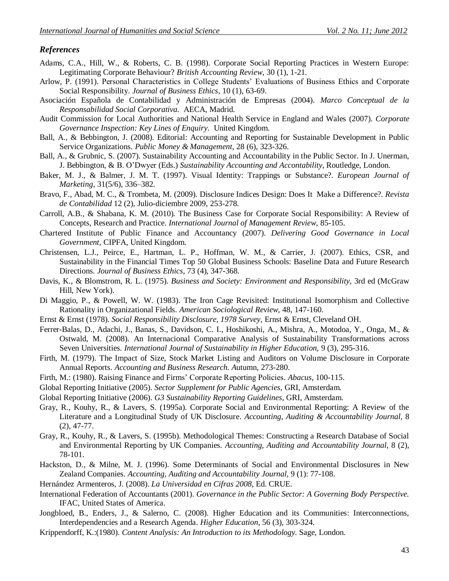#### *References*

- Adams, C.A., Hill, W., & Roberts, C. B. (1998). Corporate Social Reporting Practices in Western Europe: Legitimating Corporate Behaviour? *British Accounting Review*, 30 (1), 1-21.
- Arlow, P. (1991). Personal Characteristics in College Students" Evaluations of Business Ethics and Corporate Social Responsibility. *Journal of Business Ethics*, 10 (1), 63-69.
- Asociación Española de Contabilidad y Administración de Empresas (2004). *Marco Conceptual de la Responsabilidad Social Corporativa.* AECA, Madrid.
- Audit Commission for Local Authorities and National Health Service in England and Wales (2007). *Corporate Governance Inspection: Key Lines of Enquiry.* United Kingdom.
- Ball, A., & Bebbington, J. (2008). Editorial: Accounting and Reporting for Sustainable Development in Public Service Organizations. *Public Money & Management*, 28 (6), 323-326.
- Ball, A., & Grubnic, S. (2007). Sustainability Accounting and Accountability in the Public Sector. In J. Unerman, J. Bebbington, & B. O"Dwyer (Eds.) *Sustainability Accounting and Accontability*, Routledge, London.
- Baker, M. J., & Balmer, J. M. T. (1997). Visual Identity: Trappings or Substance?. *European Journal of Marketing*, 31(5/6), 336–382.
- Bravo, F., Abad, M. C., & Trombeta, M. (2009). Disclosure Indices Design: Does It Make a Difference?. *Revista de Contabilidad* 12 (2), Julio-diciembre 2009, 253-278.
- Carroll, A.B., & Shabana, K. M. (2010). The Business Case for Corporate Social Responsibility: A Review of Concepts, Research and Practice. *International Journal of Management Review*, 85-105.
- Chartered Institute of Public Finance and Accountancy (2007). *Delivering Good Governance in Local Government,* CIPFA, United Kingdom.
- Christensen, L.J., Peirce, E., Hartman, L. P., Hoffman, W. M., & Carrier, J. (2007). Ethics, CSR, and Sustainability in the Financial Times Top 50 Global Business Schools: Baseline Data and Future Research Directions. *Journal of Business Ethics*, 73 (4), 347-368.
- Davis, K., & Blomstrom, R. L. (1975). *Business and Society: Environment and Responsibility*, 3rd ed (McGraw Hill, New York).
- Di Maggio, P., & Powell, W. W. (1983). The Iron Cage Revisited: Institutional Isomorphism and Collective Rationality in Organizational Fields. *American Sociological Review*, 48, 147-160.
- Ernst & Ernst (1978). *Social Responsibility Disclosure, 1978 Survey,* Ernst & Ernst, Cleveland OH.
- Ferrer-Balas, D., Adachi, J., Banas, S., Davidson, C. I., Hoshikoshi, A., Mishra, A., Motodoa, Y., Onga, M., & Ostwald, M. (2008). An Internacional Comparative Analysis of Sustainability Transformations across Seven Universities. *International Journal of Sustainability in Higher Education,* 9 (3), 295-316.
- Firth, M. (1979). The Impact of Size, Stock Market Listing and Auditors on Volume Disclosure in Corporate Annual Reports. *Accounting and Business Research. A*utumn, 273-280.
- Firth, M.: (1980). Raising Finance and Firms" Corporate Reporting Policies. *Abacus*, 100-115.
- Global Reporting Initiative (2005). *Sector Supplement for Public Agencies,* GRI, Amsterdam.
- Global Reporting Initiative (2006). *G3 Sustainability Reporting Guidelines,* GRI, Amsterdam.
- Gray, R., Kouhy, R., & Lavers, S. (1995a). Corporate Social and Environmental Reporting: A Review of the Literature and a Longitudinal Study of UK Disclosure. *Accounting, Auditing & Accountability Journal,* 8 (2), 47-77.
- Gray, R., Kouhy, R., & Lavers, S. (1995b). Methodological Themes: Constructing a Research Database of Social and Environmental Reporting by UK Companies. *Accounting, Auditing and Accountability Journal*, 8 (2), 78-101.
- Hackston, D., & Milne, M. J. (1996). Some Determinants of Social and Environmental Disclosures in New Zealand Companies. *Accounting, Auditing and Accountability Journal*, 9 (1): 77-108.
- Hernández Armenteros, J. (2008). *La Universidad en Cifras 2008,* Ed. CRUE.
- International Federation of Accountants (2001). *Governance in the Public Sector: A Governing Body Perspective.* IFAC, United States of America.
- Jongbloed, B., Enders, J., & Salerno, C. (2008). Higher Education and its Communities: Interconnections, Interdependencies and a Research Agenda. *Higher Education*, 56 (3), 303-324.
- Krippendorff, K.:(1980). *Content Analysis: An Introduction to its Methodology.* Sage, London.